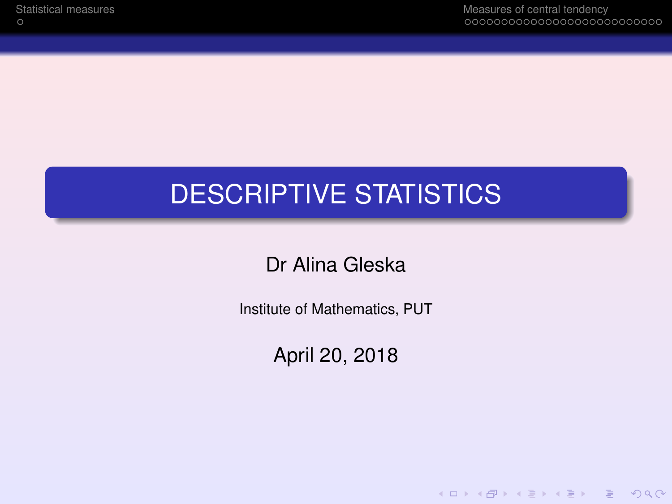K ロ ▶ K @ ▶ K 할 ▶ K 할 ▶ | 할 | © Q Q @

# DESCRIPTIVE STATISTICS

Dr Alina Gleska

Institute of Mathematics, PUT

April 20, 2018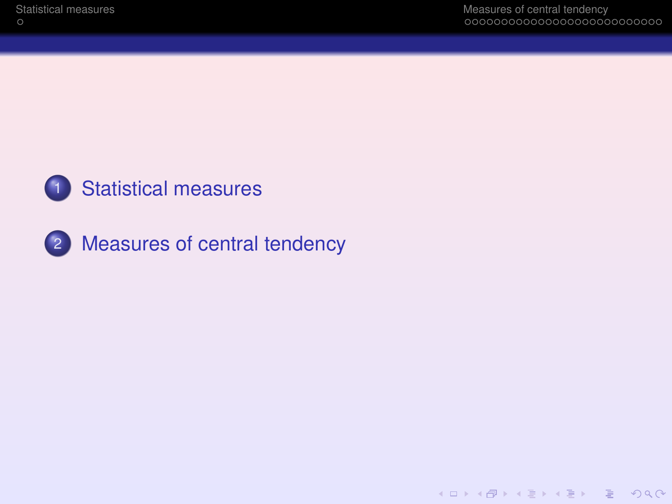

## [Statistical measures](#page-2-0)



[Measures of central tendency](#page-3-0)

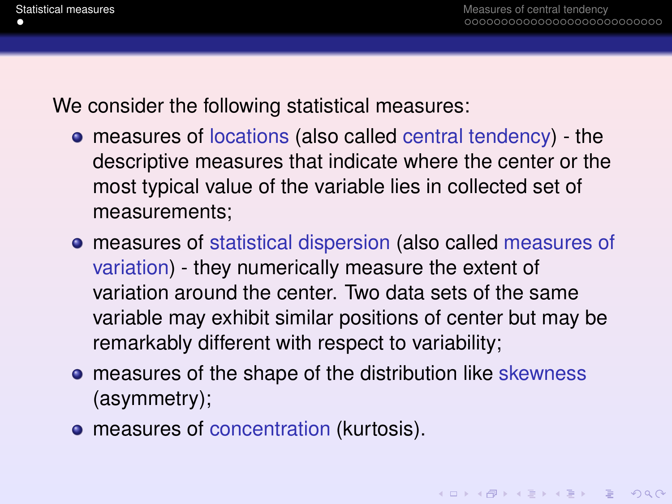<span id="page-2-0"></span>We consider the following statistical measures:

- measures of locations (also called central tendency) the descriptive measures that indicate where the center or the most typical value of the variable lies in collected set of measurements;
- measures of statistical dispersion (also called measures of variation) - they numerically measure the extent of variation around the center. Two data sets of the same variable may exhibit similar positions of center but may be remarkably different with respect to variability;
- **•** measures of the shape of the distribution like skewness (asymmetry);
- **•** measures of concentration (kurtosis).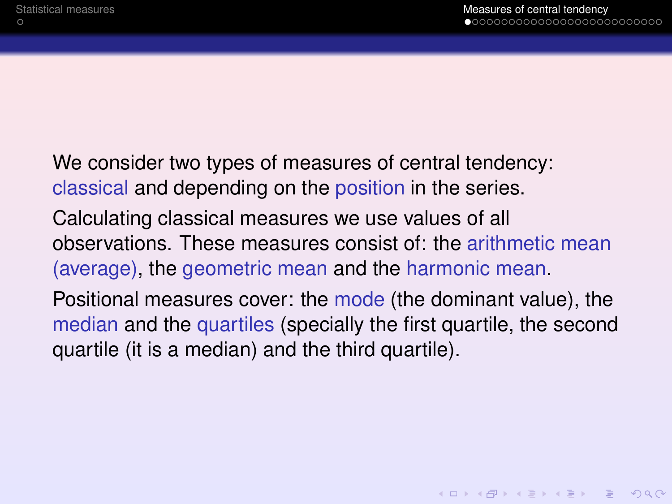<span id="page-3-0"></span>We consider two types of measures of central tendency: classical and depending on the position in the series. Calculating classical measures we use values of all observations. These measures consist of: the arithmetic mean (average), the geometric mean and the harmonic mean. Positional measures cover: the mode (the dominant value), the median and the quartiles (specially the first quartile, the second quartile (it is a median) and the third quartile).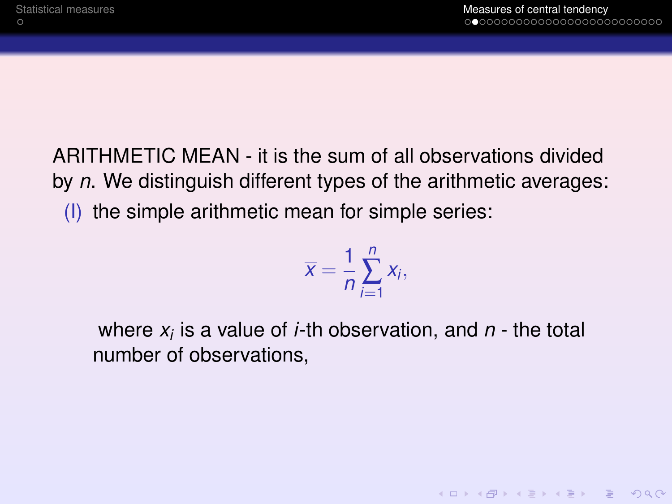ARITHMETIC MEAN - it is the sum of all observations divided by *n*. We distinguish different types of the arithmetic averages: (I) the simple arithmetic mean for simple series:

$$
\overline{x}=\frac{1}{n}\sum_{i=1}^n x_i,
$$

where *x<sup>i</sup>* is a value of *i*-th observation, and *n* - the total number of observations,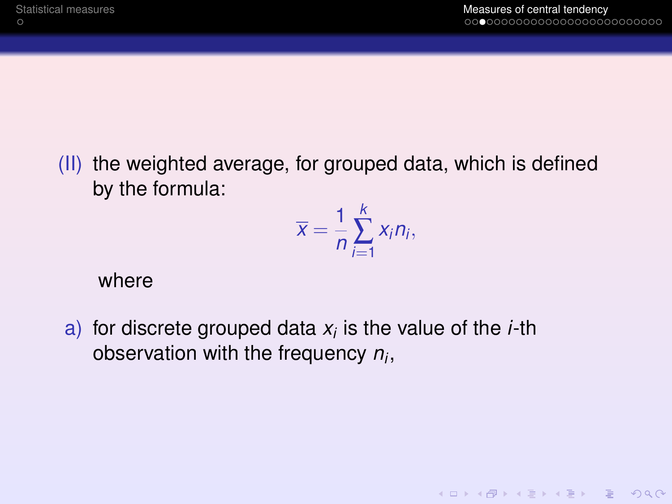(II) the weighted average, for grouped data, which is defined by the formula:

$$
\overline{x}=\frac{1}{n}\sum_{i=1}^k x_i n_i,
$$

where

a) for discrete grouped data *x<sup>i</sup>* is the value of the *i*-th observation with the frequency *n<sup>i</sup>* ,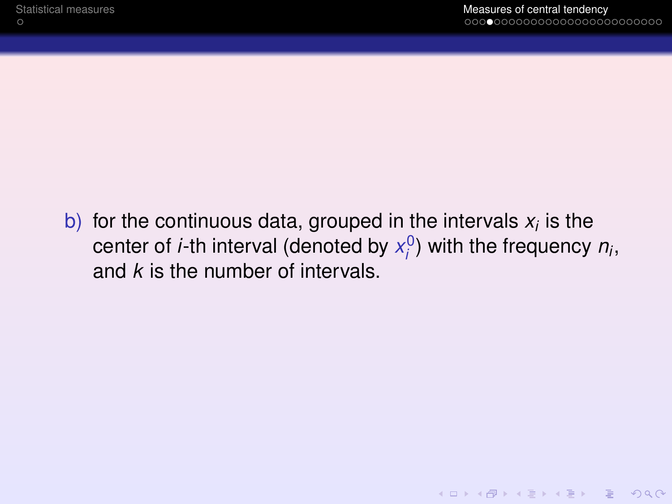KID K@ KKEX KEX E 1090

b) for the continuous data, grouped in the intervals  $x_i$  is the center of *i*-th interval (denoted by  $x_i^0$ ) with the frequency  $n_i$ , and *k* is the number of intervals.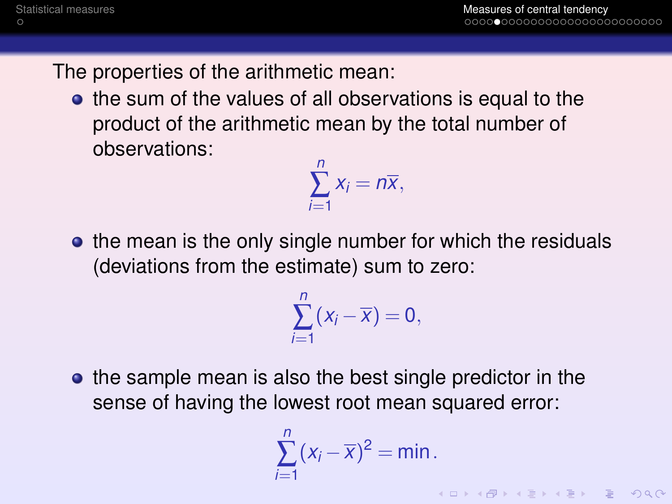The properties of the arithmetic mean:

• the sum of the values of all observations is equal to the product of the arithmetic mean by the total number of observations:

$$
\sum_{i=1}^n x_i = n\overline{x},
$$

• the mean is the only single number for which the residuals (deviations from the estimate) sum to zero:

$$
\sum_{i=1}^n(x_i-\overline{x})=0,
$$

• the sample mean is also the best single predictor in the sense of having the lowest root mean squared error:

$$
\sum_{i=1}^n (x_i - \overline{x})^2 = \min.
$$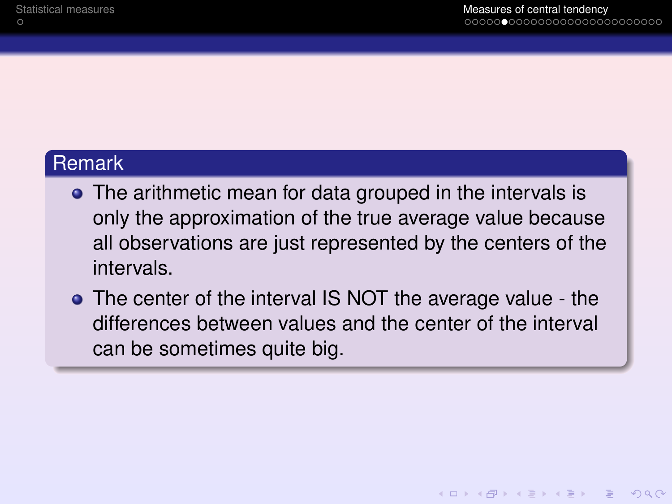#### **Remark**

- The arithmetic mean for data grouped in the intervals is only the approximation of the true average value because all observations are just represented by the centers of the intervals.
- The center of the interval IS NOT the average value the differences between values and the center of the interval can be sometimes quite big.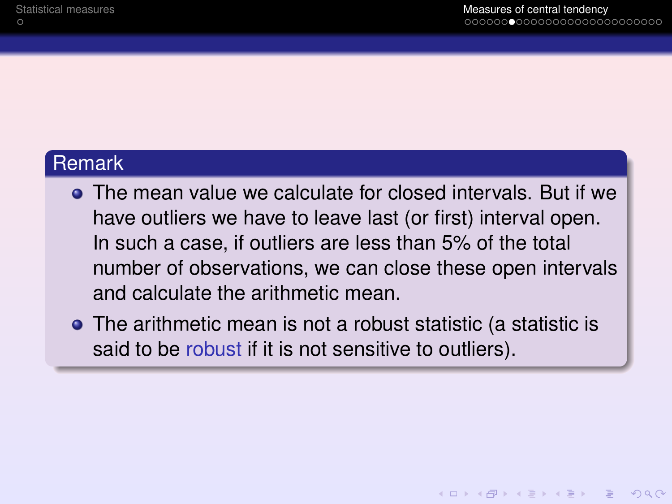#### **Remark**

- The mean value we calculate for closed intervals. But if we have outliers we have to leave last (or first) interval open. In such a case, if outliers are less than 5% of the total number of observations, we can close these open intervals and calculate the arithmetic mean.
- The arithmetic mean is not a robust statistic (a statistic is said to be robust if it is not sensitive to outliers).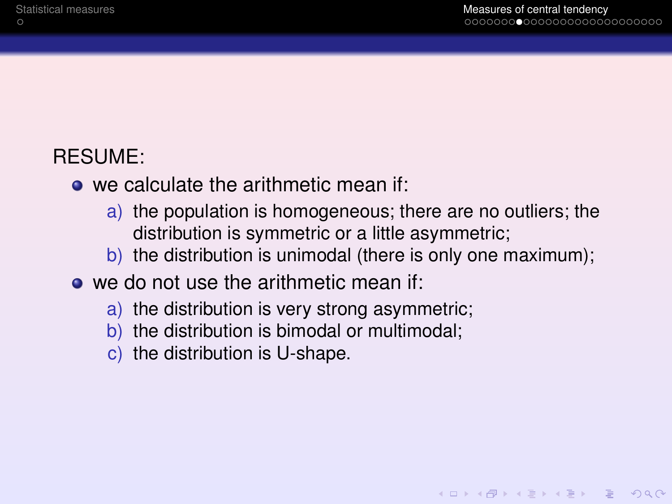### RESUME:

- we calculate the arithmetic mean if:
	- a) the population is homogeneous; there are no outliers; the distribution is symmetric or a little asymmetric;
	- b) the distribution is unimodal (there is only one maximum);
- **o** we do not use the arithmetic mean if:
	- a) the distribution is very strong asymmetric;
	- b) the distribution is bimodal or multimodal;
	- c) the distribution is U-shape.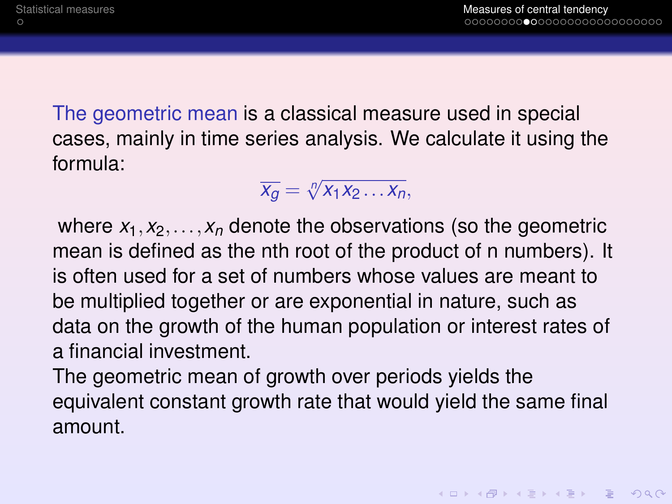The geometric mean is a classical measure used in special cases, mainly in time series analysis. We calculate it using the formula:

$$
\overline{x_g} = \sqrt[n]{x_1 x_2 \ldots x_n},
$$

where  $x_1, x_2, \ldots, x_n$  denote the observations (so the geometric mean is defined as the nth root of the product of n numbers). It is often used for a set of numbers whose values are meant to be multiplied together or are exponential in nature, such as data on the growth of the human population or interest rates of a financial investment.

The geometric mean of growth over periods yields the equivalent constant growth rate that would yield the same final amount.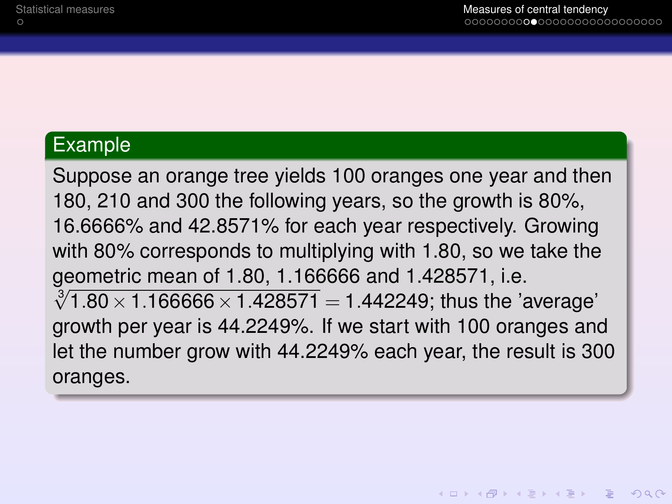#### Example

Suppose an orange tree yields 100 oranges one year and then 180, 210 and 300 the following years, so the growth is 80%, 16.6666% and 42.8571% for each year respectively. Growing with 80% corresponds to multiplying with 1.80, so we take the geometric mean of 1.80, 1.166666 and 1.428571, i.e. geometric mean of 1.60, 1.166666 and 1.426571, i.e.<br> $\sqrt[3]{1.80 \times 1.166666 \times 1.428571} = 1.442249$ ; thus the 'average' growth per year is 44.2249%. If we start with 100 oranges and let the number grow with 44.2249% each year, the result is 300 oranges.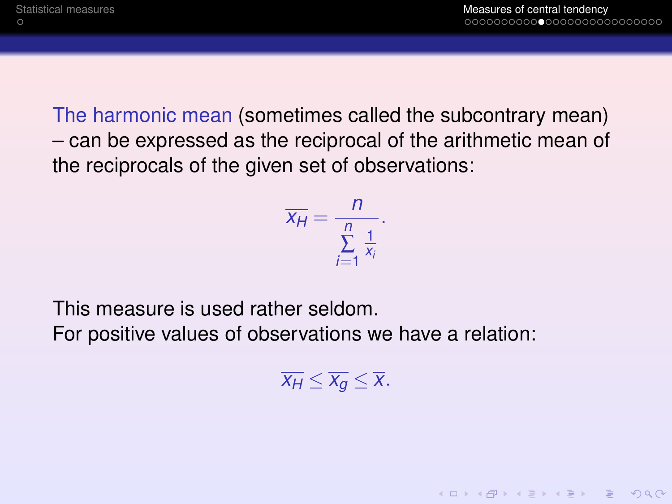The harmonic mean (sometimes called the subcontrary mean) – can be expressed as the reciprocal of the arithmetic mean of the reciprocals of the given set of observations:

$$
\overline{x_H} = \frac{n}{\sum\limits_{i=1}^n \frac{1}{x_i}}.
$$

This measure is used rather seldom.

For positive values of observations we have a relation:

 $\overline{x_H} \leq \overline{x_g} \leq \overline{x}$ .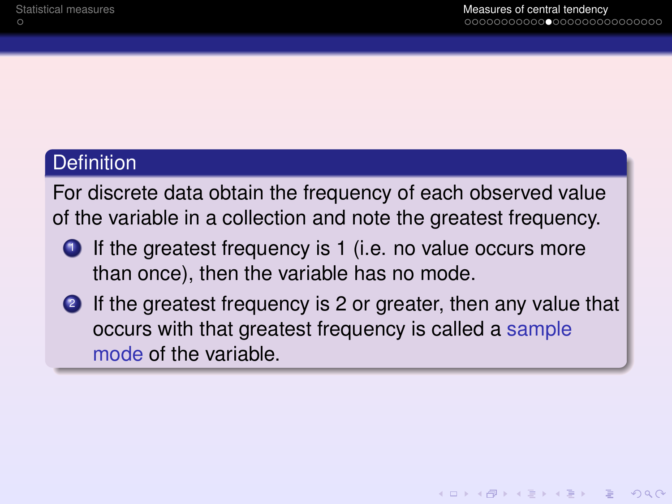#### **Definition**

For discrete data obtain the frequency of each observed value of the variable in a collection and note the greatest frequency.

- $\bullet$  If the greatest frequency is 1 (i.e. no value occurs more than once), then the variable has no mode.
- 2 If the greatest frequency is 2 or greater, then any value that occurs with that greatest frequency is called a sample mode of the variable.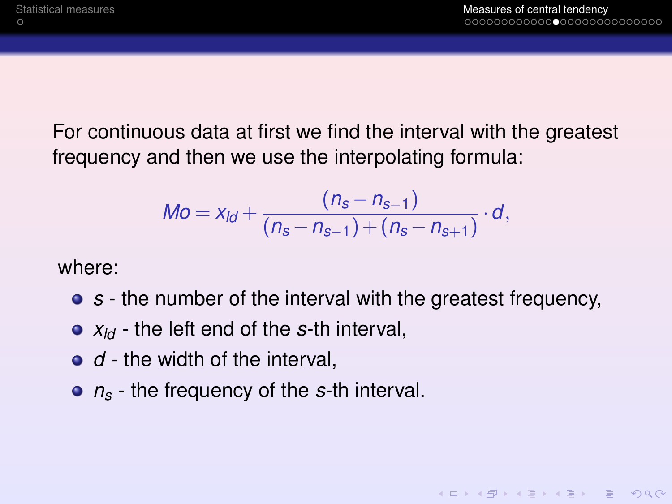KEL KALA KELKEL EL YAN

For continuous data at first we find the interval with the greatest frequency and then we use the interpolating formula:

$$
Mo = xld + \frac{(ns - ns-1)}{(ns - ns-1) + (ns - ns+1)} \cdot d,
$$

where:

- *s* the number of the interval with the greatest frequency,
- *xld* the left end of the *s*-th interval,
- *d* the width of the interval.
- *n<sup>s</sup>* the frequency of the *s*-th interval.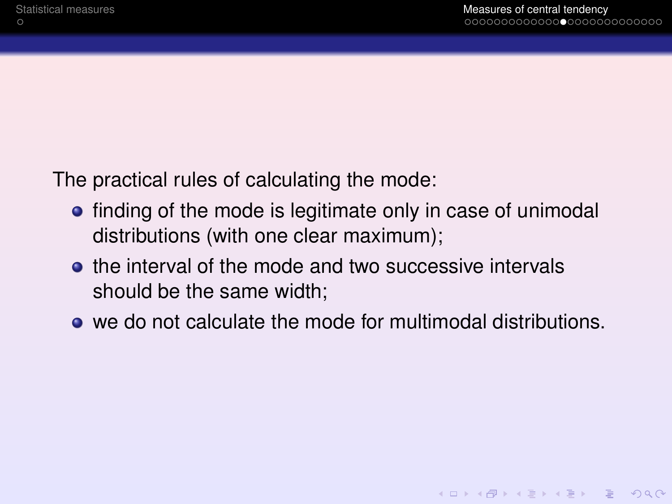**KOD KAD KED KED E VAN** 

The practical rules of calculating the mode:

- finding of the mode is legitimate only in case of unimodal distributions (with one clear maximum);
- the interval of the mode and two successive intervals should be the same width;
- we do not calculate the mode for multimodal distributions.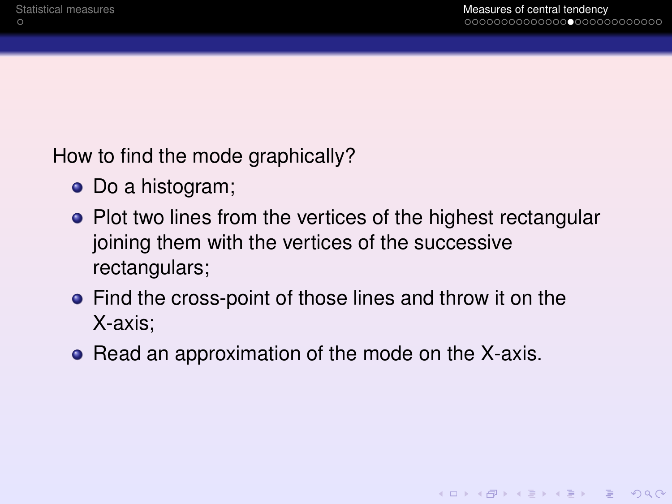How to find the mode graphically?

- Do a histogram;
- Plot two lines from the vertices of the highest rectangular joining them with the vertices of the successive rectangulars;
- Find the cross-point of those lines and throw it on the X-axis;
- Read an approximation of the mode on the X-axis.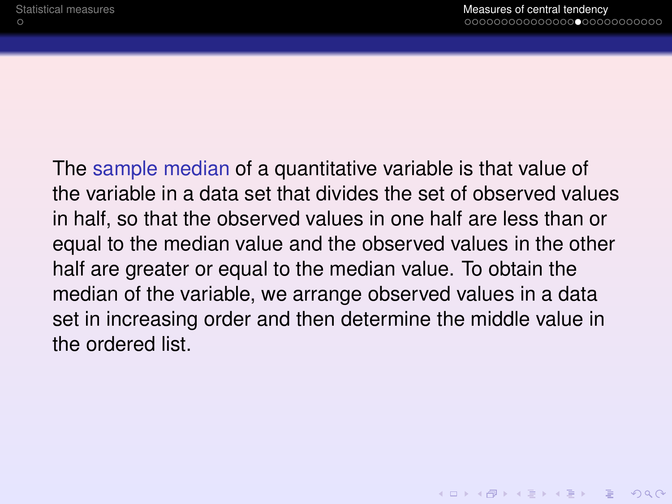The sample median of a quantitative variable is that value of the variable in a data set that divides the set of observed values in half, so that the observed values in one half are less than or equal to the median value and the observed values in the other half are greater or equal to the median value. To obtain the median of the variable, we arrange observed values in a data set in increasing order and then determine the middle value in the ordered list.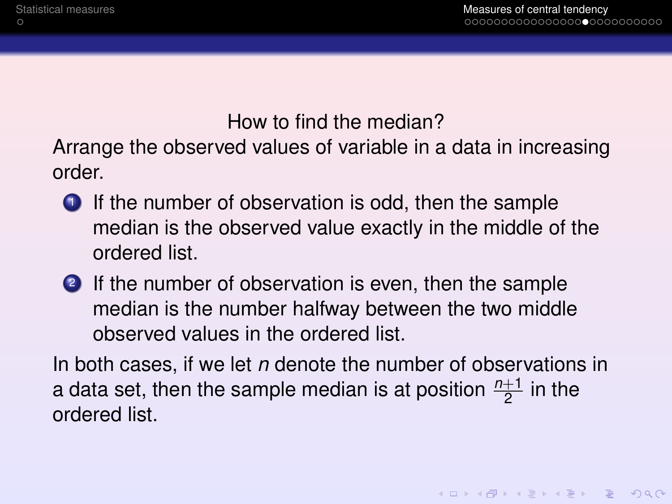#### How to find the median?

Arrange the observed values of variable in a data in increasing order.

- $\bullet$  If the number of observation is odd, then the sample median is the observed value exactly in the middle of the ordered list.
- <sup>2</sup> If the number of observation is even, then the sample median is the number halfway between the two middle observed values in the ordered list.

In both cases, if we let *n* denote the number of observations in a data set, then the sample median is at position  $\frac{n+1}{2}$  in the ordered list.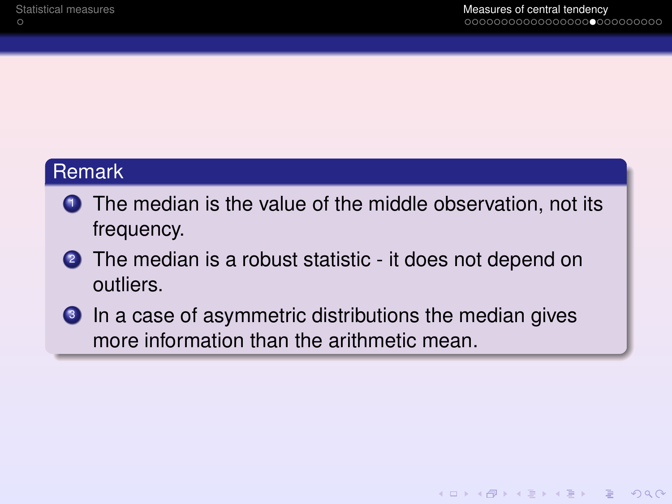#### Remark

- **1** The median is the value of the middle observation, not its frequency.
- <sup>2</sup> The median is a robust statistic it does not depend on outliers.
- <sup>3</sup> In a case of asymmetric distributions the median gives more information than the arithmetic mean.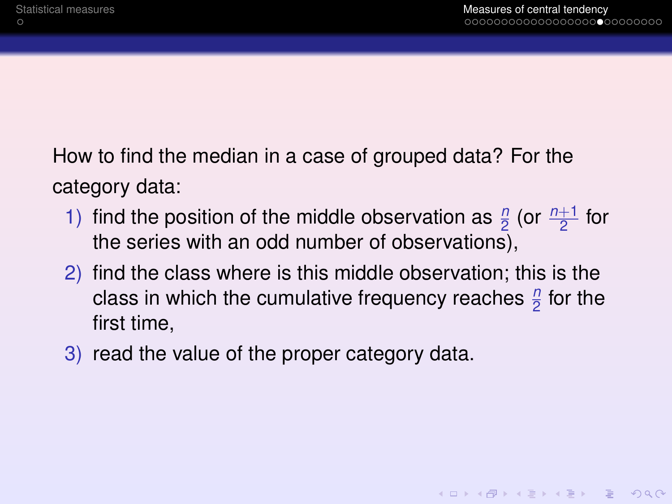How to find the median in a case of grouped data? For the category data:

- 1) find the position of the middle observation as  $\frac{n}{2}$  (or  $\frac{n+1}{2}$  for the series with an odd number of observations),
- 2) find the class where is this middle observation; this is the class in which the cumulative frequency reaches  $\frac{n}{2}$  for the first time,
- 3) read the value of the proper category data.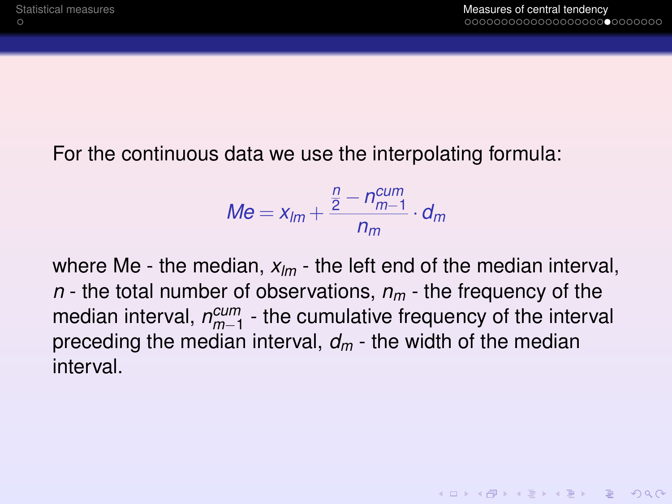#### For the continuous data we use the interpolating formula:

$$
Me = x_{lm} + \frac{\frac{n}{2} - n_{m-1}^{cum}}{n_m} \cdot d_m
$$

where Me - the median, *xlm* - the left end of the median interval, *n* - the total number of observations, *n<sup>m</sup>* - the frequency of the median interval,  $n_{m-1}^{cum}$  - the cumulative frequency of the interval preceding the median interval, *d<sup>m</sup>* - the width of the median interval.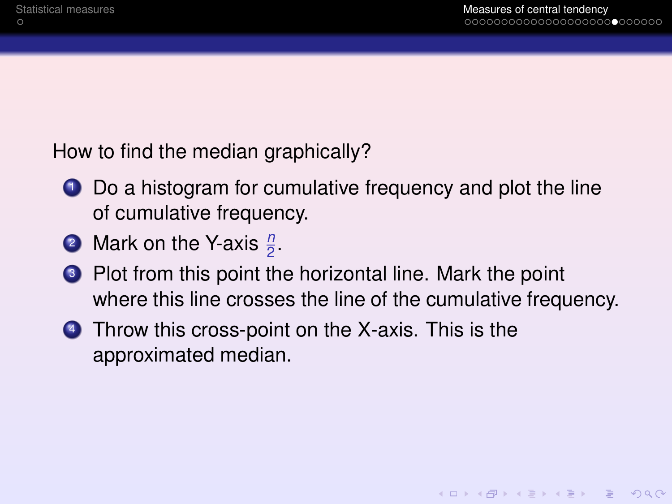How to find the median graphically?

- **1** Do a histogram for cumulative frequency and plot the line of cumulative frequency.
- <sup>2</sup> Mark on the Y-axis  $\frac{n}{2}$ .
- <sup>3</sup> Plot from this point the horizontal line. Mark the point where this line crosses the line of the cumulative frequency.
- **4** Throw this cross-point on the X-axis. This is the approximated median.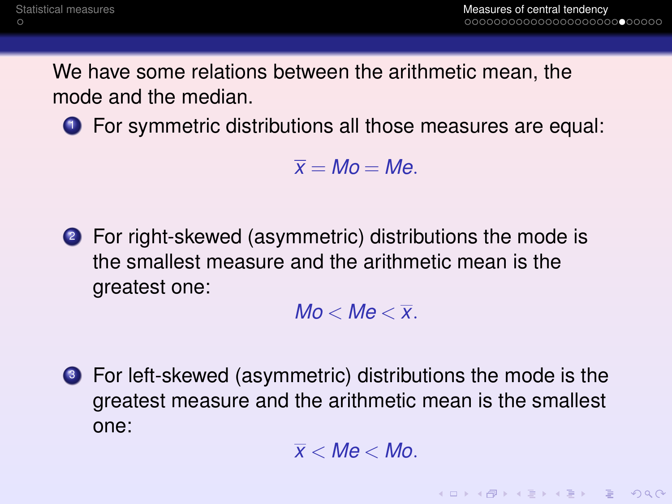We have some relations between the arithmetic mean, the mode and the median.

**1** For symmetric distributions all those measures are equal:

 $\bar{x} = Mo = Me$ .

<sup>2</sup> For right-skewed (asymmetric) distributions the mode is the smallest measure and the arithmetic mean is the greatest one:

 $Mo < Me < \overline{x}$ .

<sup>3</sup> For left-skewed (asymmetric) distributions the mode is the greatest measure and the arithmetic mean is the smallest one:

 $\overline{x}$  < *Me* < *Mo*.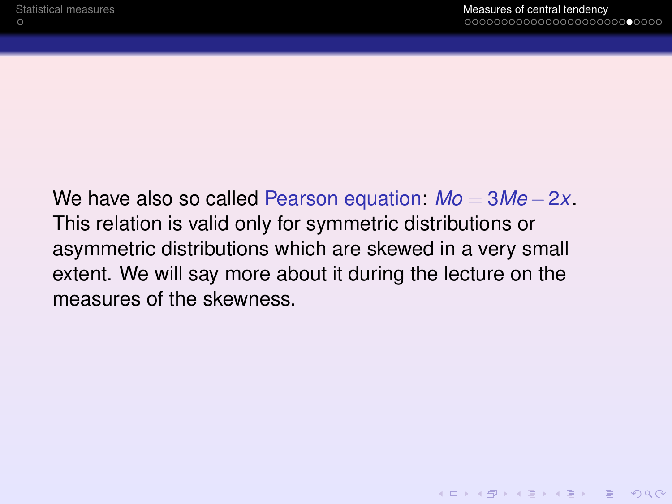**KOD CONTRACT A BOARD OF A GOV** 

We have also so called Pearson equation: *Mo* = 3*Me* −2*x*. This relation is valid only for symmetric distributions or asymmetric distributions which are skewed in a very small extent. We will say more about it during the lecture on the measures of the skewness.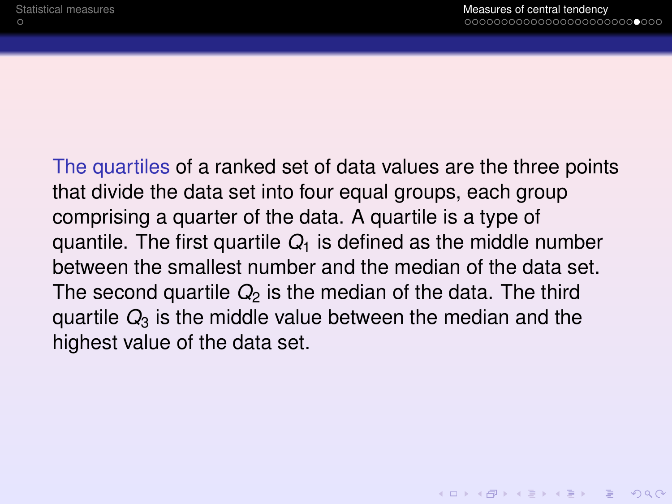The quartiles of a ranked set of data values are the three points that divide the data set into four equal groups, each group comprising a quarter of the data. A quartile is a type of quantile. The first quartile  $Q_1$  is defined as the middle number between the smallest number and the median of the data set. The second quartile  $Q_2$  is the median of the data. The third quartile  $Q_3$  is the middle value between the median and the highest value of the data set.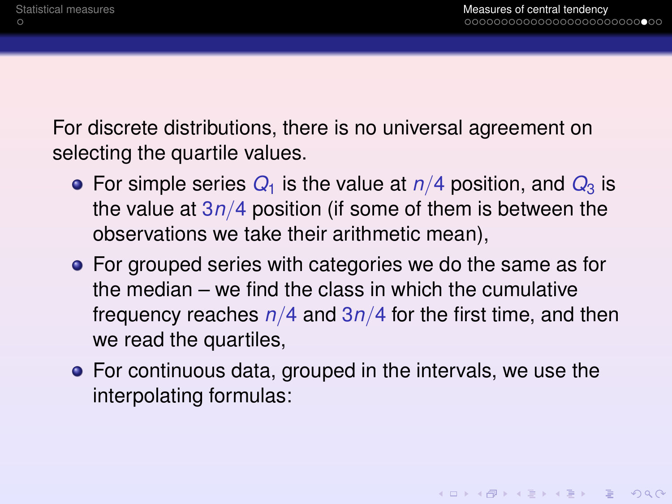For discrete distributions, there is no universal agreement on selecting the quartile values.

- For simple series  $Q_1$  is the value at  $n/4$  position, and  $Q_3$  is the value at 3*n*/4 position (if some of them is between the observations we take their arithmetic mean),
- For grouped series with categories we do the same as for the median – we find the class in which the cumulative frequency reaches *n*/4 and 3*n*/4 for the first time, and then we read the quartiles,
- For continuous data, grouped in the intervals, we use the interpolating formulas: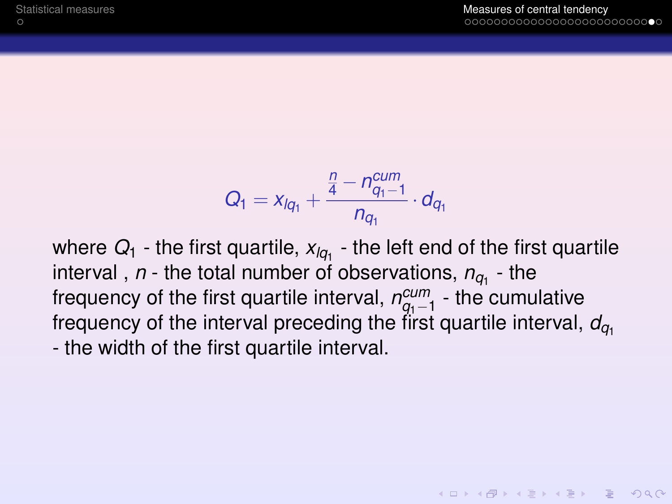$$
Q_1 = x_{lq_1} + \frac{\frac{n}{4} - n_{q_1-1}^{cum}}{n_{q_1}} \cdot d_{q_1}
$$

where  $Q_{\rm 1}$  - the first quartile,  $x_{\mathit{lq}_{\rm 1}}$  - the left end of the first quartile interval ,  $n$  - the total number of observations,  $n_{q_1}$  - the frequency of the first quartile interval,  $n_{q_1-1}^{cum}$  - the cumulative frequency of the interval preceding the first quartile interval,  $d_{q_1}$ - the width of the first quartile interval.